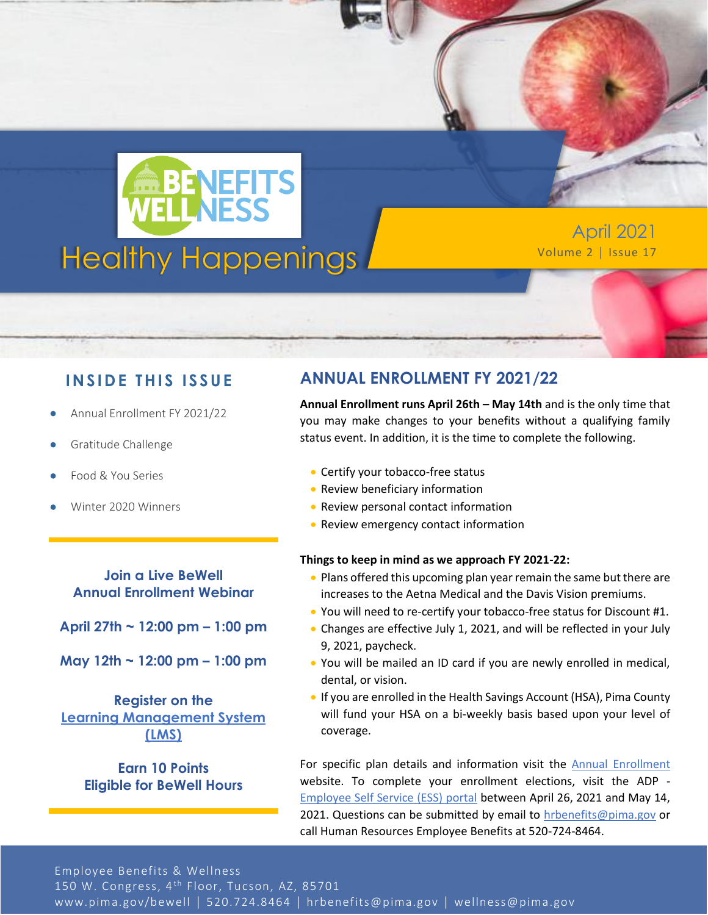

April 2021

### **IN SID E TH IS ISS UE**

- Annual Enrollment FY 2021/22
- Gratitude Challenge
- Food & You Series
- Winter 2020 Winners

**Join a Live BeWell Annual Enrollment Webinar**

**April 27th ~ 12:00 pm – 1:00 pm**

**May 12th ~ 12:00 pm – 1:00 pm**

**Register on the [Learning Management System](https://pimalms.central.pima.gov/Default.aspx)  [\(LMS\)](https://pimalms.central.pima.gov/Default.aspx)**

> **Earn 10 Points Eligible for BeWell Hours**

### **ANNUAL ENROLLMENT FY 2021/22**

**Annual Enrollment runs April 26th – May 14th** and is the only time that you may make changes to your benefits without a qualifying family status event. In addition, it is the time to complete the following.

- Certify your tobacco-free status
- Review beneficiary information
- Review personal contact information
- Review emergency contact information

#### **Things to keep in mind as we approach FY 2021-22:**

- Plans offered this upcoming plan year remain the same but there are increases to the Aetna Medical and the Davis Vision premiums.
- You will need to re-certify your tobacco-free status for Discount #1.
- Changes are effective July 1, 2021, and will be reflected in your July 9, 2021, paycheck.
- You will be mailed an ID card if you are newly enrolled in medical, dental, or vision.
- If you are enrolled in the Health Savings Account (HSA), Pima County will fund your HSA on a bi-weekly basis based upon your level of coverage.

For specific plan details and information visit the [Annual Enrollment](https://webcms.pima.gov/cms/One.aspx?portalId=169&pageId=83754) website. To complete your enrollment elections, visit the ADP - [Employee Self Service \(ESS\) portal](https://online.adp.com/signin/v1/?APPID=HomepagePortal&productId=80e309c3-7078-bae1-e053-3505430b5495&returnURL=https://portal.adp.com/public/index.htm&callingAppId=HomepagePortal) between April 26, 2021 and May 14, 2021. Questions can be submitted by email to [hrbenefits@pima.gov](mailto:hrbenefits@pima.gov) or call Human Resources Employee Benefits at 520-724-8464.

Employee Benefits & Wellness 150 W. Congress, 4<sup>th</sup> Floor, Tucson, AZ, 85701 www.pima.gov/bewell │ 520.724.8464 │ hrbenefits@pima.gov │ wellness@pima.gov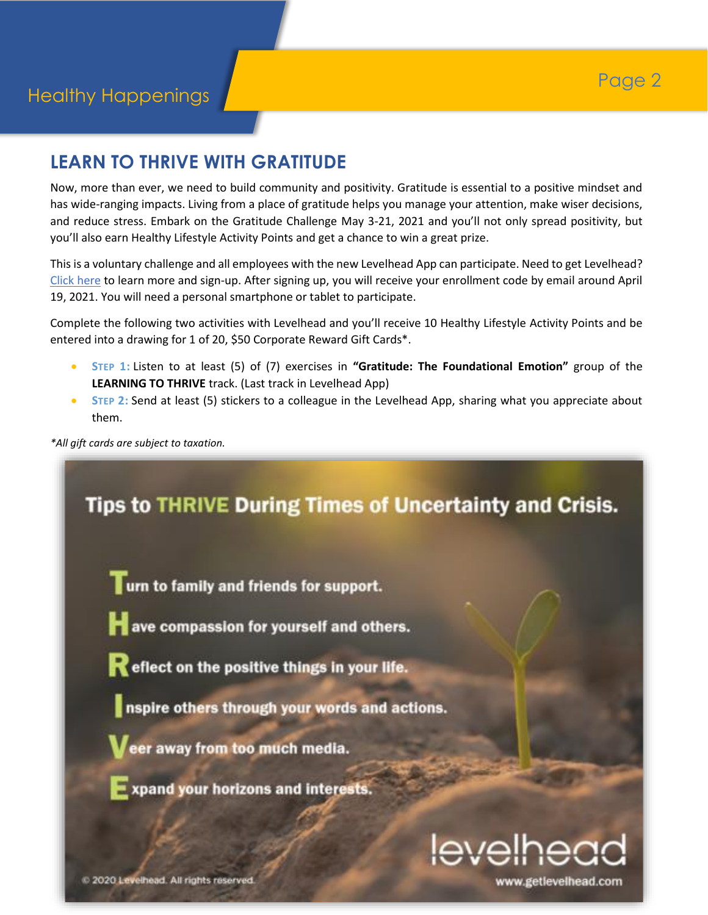# **LEARN TO THRIVE WITH GRATITUDE**

Now, more than ever, we need to build community and positivity. Gratitude is essential to a positive mindset and has wide-ranging impacts. Living from a place of gratitude helps you manage your attention, make wiser decisions, and reduce stress. Embark on the Gratitude Challenge May 3-21, 2021 and you'll not only spread positivity, but you'll also earn Healthy Lifestyle Activity Points and get a chance to win a great prize.

This is a voluntary challenge and all employees with the new Levelhead App can participate. Need to get Levelhead? [Click here](https://www.getlevelhead.com/pimacounty) to learn more and sign-up. After signing up, you will receive your enrollment code by email around April 19, 2021. You will need a personal smartphone or tablet to participate.

Complete the following two activities with Levelhead and you'll receive 10 Healthy Lifestyle Activity Points and be entered into a drawing for 1 of 20, \$50 Corporate Reward Gift Cards\*.

- **STEP 1:** Listen to at least (5) of (7) exercises in **"Gratitude: The Foundational Emotion"** group of the **LEARNING TO THRIVE** track. (Last track in Levelhead App)
- **•** STEP 2: Send at least (5) stickers to a colleague in the Levelhead App, sharing what you appreciate about them.

*\*All gift cards are subject to taxation.*



2020 Levelhead. All rights reserved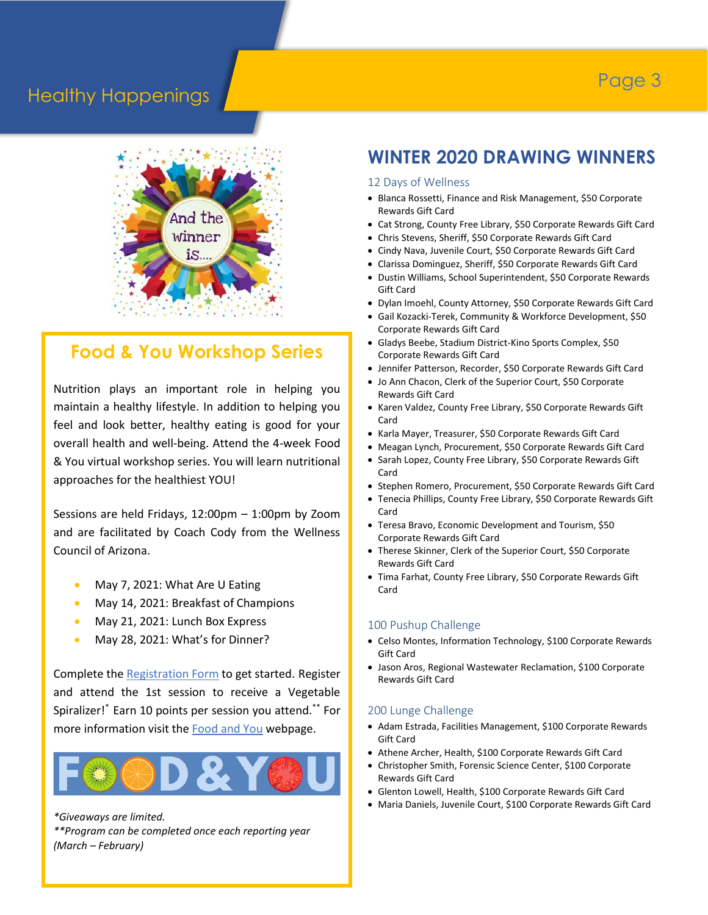# Page 3

### Healthy Happenings



### **Food & You Workshop Series**

Nutrition plays an important role in helping you maintain a healthy lifestyle. In addition to helping you feel and look better, healthy eating is good for your overall health and well-being. Attend the 4-week Food & You virtual workshop series. You will learn nutritional approaches for the healthiest YOU!

Sessions are held Fridays, 12:00pm – 1:00pm by Zoom and are facilitated by Coach Cody from the Wellness Council of Arizona.

- May 7, 2021: What Are U Eating
- May 14, 2021: Breakfast of Champions
- May 21, 2021: Lunch Box Express
- May 28, 2021: What's for Dinner?

Complete th[e Registration Form](https://us02web.zoom.us/meeting/register/tZMsc-mqqDkvE9VViaimT7uPI1517K0cv6Gt) to get started. Register and attend the 1st session to receive a Vegetable Spiralizer!\* Earn 10 points per session you attend.\*\* For more information visit the **Food and You** webpage.



*\*Giveaways are limited.*

*\*\*Program can be completed once each reporting year (March – February)*

# **WINTER 2020 DRAWING WINNERS**

#### 12 Days of Wellness

- Blanca Rossetti, Finance and Risk Management, \$50 Corporate Rewards Gift Card
- Cat Strong, County Free Library, \$50 Corporate Rewards Gift Card
- Chris Stevens, Sheriff, \$50 Corporate Rewards Gift Card
- Cindy Nava, Juvenile Court, \$50 Corporate Rewards Gift Card
- Clarissa Dominguez, Sheriff, \$50 Corporate Rewards Gift Card
- Dustin Williams, School Superintendent, \$50 Corporate Rewards Gift Card
- Dylan Imoehl, County Attorney, \$50 Corporate Rewards Gift Card
- Gail Kozacki-Terek, Community & Workforce Development, \$50 Corporate Rewards Gift Card
- Gladys Beebe, Stadium District-Kino Sports Complex, \$50 Corporate Rewards Gift Card
- Jennifer Patterson, Recorder, \$50 Corporate Rewards Gift Card
- Jo Ann Chacon, Clerk of the Superior Court, \$50 Corporate Rewards Gift Card
- Karen Valdez, County Free Library, \$50 Corporate Rewards Gift Card
- Karla Mayer, Treasurer, \$50 Corporate Rewards Gift Card
- Meagan Lynch, Procurement, \$50 Corporate Rewards Gift Card
- Sarah Lopez, County Free Library, \$50 Corporate Rewards Gift Card
- Stephen Romero, Procurement, \$50 Corporate Rewards Gift Card
- Tenecia Phillips, County Free Library, \$50 Corporate Rewards Gift Card
- Teresa Bravo, Economic Development and Tourism, \$50 Corporate Rewards Gift Card
- Therese Skinner, Clerk of the Superior Court, \$50 Corporate Rewards Gift Card
- Tima Farhat, County Free Library, \$50 Corporate Rewards Gift Card

#### 100 Pushup Challenge

- Celso Montes, Information Technology, \$100 Corporate Rewards Gift Card
- Jason Aros, Regional Wastewater Reclamation, \$100 Corporate Rewards Gift Card

#### 200 Lunge Challenge

- Adam Estrada, Facilities Management, \$100 Corporate Rewards Gift Card
- Athene Archer, Health, \$100 Corporate Rewards Gift Card
- Christopher Smith, Forensic Science Center, \$100 Corporate Rewards Gift Card
- Glenton Lowell, Health, \$100 Corporate Rewards Gift Card
- Maria Daniels, Juvenile Court, \$100 Corporate Rewards Gift Card